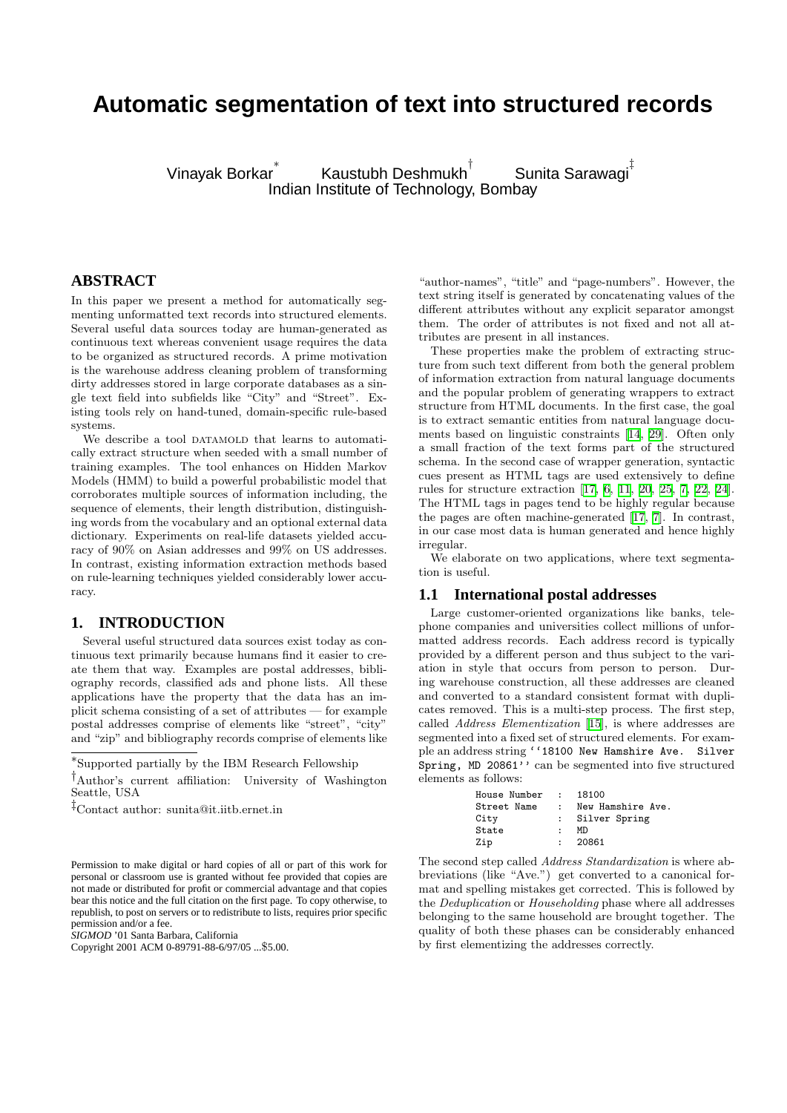# **Automatic segmentation of text into structured records**

Vinayak Borkar ∗ Kaustubh Deshmukh † Sunita Sarawagi Indian Institute of Technology, Bombay

## **ABSTRACT**

In this paper we present a method for automatically segmenting unformatted text records into structured elements. Several useful data sources today are human-generated as continuous text whereas convenient usage requires the data to be organized as structured records. A prime motivation is the warehouse address cleaning problem of transforming dirty addresses stored in large corporate databases as a single text field into subfields like "City" and "Street". Existing tools rely on hand-tuned, domain-specific rule-based systems.

We describe a tool DATAMOLD that learns to automatically extract structure when seeded with a small number of training examples. The tool enhances on Hidden Markov Models (HMM) to build a powerful probabilistic model that corroborates multiple sources of information including, the sequence of elements, their length distribution, distinguishing words from the vocabulary and an optional external data dictionary. Experiments on real-life datasets yielded accuracy of 90% on Asian addresses and 99% on US addresses. In contrast, existing information extraction methods based on rule-learning techniques yielded considerably lower accuracy.

# **1. INTRODUCTION**

Several useful structured data sources exist today as continuous text primarily because humans find it easier to create them that way. Examples are postal addresses, bibliography records, classified ads and phone lists. All these applications have the property that the data has an implicit schema consisting of a set of attributes — for example postal addresses comprise of elements like "street", "city" and "zip" and bibliography records comprise of elements like

†Author's current affiliation: University of Washington Seattle, USA

‡Contact author: sunita@it.iitb.ernet.in

Permission to make digital or hard copies of all or part of this work for personal or classroom use is granted without fee provided that copies are not made or distributed for profit or commercial advantage and that copies bear this notice and the full citation on the first page. To copy otherwise, to republish, to post on servers or to redistribute to lists, requires prior specific permission and/or a fee.

*SIGMOD* '01 Santa Barbara, California

Copyright 2001 ACM 0-89791-88-6/97/05 ...\$5.00.

"author-names", "title" and "page-numbers". However, the text string itself is generated by concatenating values of the different attributes without any explicit separator amongst them. The order of attributes is not fixed and not all attributes are present in all instances.

‡

These properties make the problem of extracting structure from such text different from both the general problem of information extraction from natural language documents and the popular problem of generating wrappers to extract structure from HTML documents. In the first case, the goal is to extract semantic entities from natural language documents based on linguistic constraints [\[14,](#page-11-0) [29](#page-11-1)]. Often only a small fraction of the text forms part of the structured schema. In the second case of wrapper generation, syntactic cues present as HTML tags are used extensively to define rules for structure extraction [\[17,](#page-11-2) [6,](#page-11-3) [11](#page-11-4), [20,](#page-11-5) [25,](#page-11-6) [7,](#page-11-7) [22](#page-11-8), [24\]](#page-11-9). The HTML tags in pages tend to be highly regular because the pages are often machine-generated[[17](#page-11-2), [7\]](#page-11-7). In contrast, in our case most data is human generated and hence highly irregular.

We elaborate on two applications, where text segmentation is useful.

## **1.1 International postal addresses**

Large customer-oriented organizations like banks, telephone companies and universities collect millions of unformatted address records. Each address record is typically provided by a different person and thus subject to the variation in style that occurs from person to person. During warehouse construction, all these addresses are cleaned and converted to a standard consistent format with duplicates removed. This is a multi-step process. The first step, called Address Elementization [[15\]](#page-11-10), is where addresses are segmented into a fixed set of structured elements. For example an address string ''18100 New Hamshire Ave. Silver Spring, MD 20861'' can be segmented into five structured elements as follows:

| $\sim$ $\sim$ | 18100             |
|---------------|-------------------|
|               | New Hamshire Ave. |
|               | Silver Spring     |
|               | MD                |
|               | 20861             |
|               |                   |

The second step called Address Standardization is where abbreviations (like "Ave.") get converted to a canonical format and spelling mistakes get corrected. This is followed by the Deduplication or Householding phase where all addresses belonging to the same household are brought together. The quality of both these phases can be considerably enhanced by first elementizing the addresses correctly.

<sup>∗</sup> Supported partially by the IBM Research Fellowship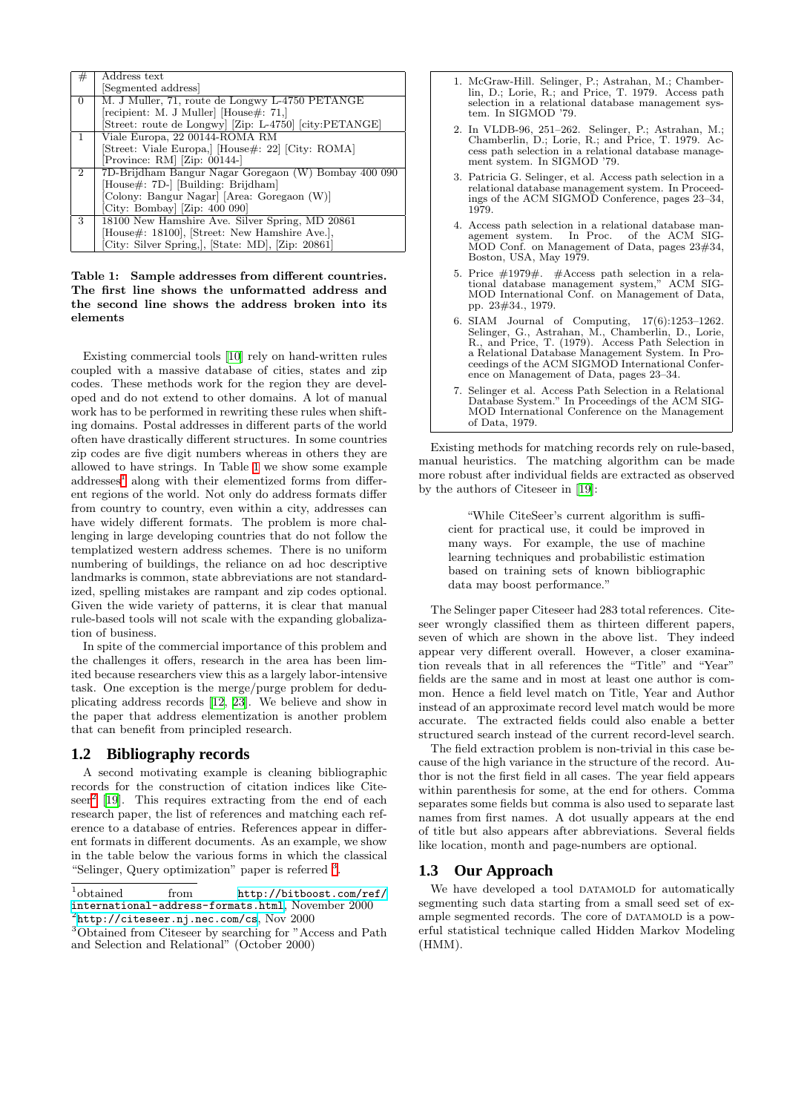| #              | Address text                                         |
|----------------|------------------------------------------------------|
|                | [Segmented address]                                  |
| 0              | M. J Muller, 71, route de Longwy L-4750 PETANGE      |
|                | recipient: M. J Muller [House#: 71,]                 |
|                | Street: route de Longwy [Zip: L-4750] [city:PETANGE] |
| 1              | Viale Europa, 22 00144-ROMA RM                       |
|                | Street: Viale Europa, [House#: 22] [City: ROMA]      |
|                | [Province: RM] [Zip: 00144-]                         |
| $\overline{2}$ | 7D-Brijdham Bangur Nagar Goregaon (W) Bombay 400 090 |
|                | [House#: 7D-] [Building: Brijdham]                   |
|                | [Colony: Bangur Nagar] [Area: Goregaon (W)]          |
|                | City: Bombay] [Zip: 400 090]                         |
| 3              | 18100 New Hamshire Ave. Silver Spring, MD 20861      |
|                | [House#: 18100], [Street: New Hamshire Ave.],        |
|                | [City: Silver Spring,], [State: MD], [Zip: 20861]    |

<span id="page-1-0"></span>Table 1: Sample addresses from different countries. The first line shows the unformatted address and the second line shows the address broken into its elements

Existing commercial tools[[10\]](#page-11-11) rely on hand-written rules coupled with a massive database of cities, states and zip codes. These methods work for the region they are developed and do not extend to other domains. A lot of manual work has to be performed in rewriting these rules when shifting domains. Postal addresses in different parts of the world often have drastically different structures. In some countries zip codes are five digit numbers whereas in others they are allowed to have strings. In Table [1](#page-1-0) we show some example addresses<sup>[1](#page-1-1)</sup> along with their elementized forms from different regions of the world. Not only do address formats differ from country to country, even within a city, addresses can have widely different formats. The problem is more challenging in large developing countries that do not follow the templatized western address schemes. There is no uniform numbering of buildings, the reliance on ad hoc descriptive landmarks is common, state abbreviations are not standardized, spelling mistakes are rampant and zip codes optional. Given the wide variety of patterns, it is clear that manual rule-based tools will not scale with the expanding globalization of business.

In spite of the commercial importance of this problem and the challenges it offers, research in the area has been limited because researchers view this as a largely labor-intensive task. One exception is the merge/purge problem for deduplicating address records[[12,](#page-11-12) [23](#page-11-13)]. We believe and show in the paper that address elementization is another problem that can benefit from principled research.

## **1.2 Bibliography records**

A second motivating example is cleaning bibliographic records for the construction of citation indices like Cite-seer<sup>[2](#page-1-2)</sup> [\[19](#page-11-14)]. This requires extracting from the end of each research paper, the list of references and matching each reference to a database of entries. References appear in different formats in different documents. As an example, we show in the table below the various forms in which the classical "Selinger, Query optimization" paper is referred [3](#page-1-3) .

- 1. McGraw-Hill. Selinger, P.; Astrahan, M.; Chamberlin, D.; Lorie, R.; and Price, T. 1979. Access path selection in a relational database management system. In SIGMOD '79.
- 2. In VLDB-96, 251–262. Selinger, P.; Astrahan, M.; Chamberlin, D.; Lorie, R.; and Price, T. 1979. Access path selection in a relational database management system. In SIGMOD '79.
- 3. Patricia G. Selinger, et al. Access path selection in a relational database management system. In Proceedings of the ACM SIGMOD Conference, pages 23–34, 1979.
- 4. Access path selection in a relational database management system. In Proc. of the ACM SIG-MOD Conf. on Management of Data, pages 23#34, Boston, USA, May 1979.
- 5. Price #1979#. #Access path selection in a relational database management system," ACM SIG-MOD International Conf. on Management of Data, pp. 23#34., 1979.
- 6. SIAM Journal of Computing, 17(6):1253–1262. Selinger, G., Astrahan, M., Chamberlin, D., Lorie, R., and Price, T. (1979). Access Path Selection in a Relational Database Management System. In Proceedings of the ACM SIGMOD International Conference on Management of Data, pages 23–34.
- 7. Selinger et al. Access Path Selection in a Relational Database System." In Proceedings of the ACM SIG-MOD International Conference on the Management of Data, 1979.

Existing methods for matching records rely on rule-based, manual heuristics. The matching algorithm can be made more robust after individual fields are extracted as observed by the authors of Citeseer in [\[19](#page-11-14)]:

"While CiteSeer's current algorithm is sufficient for practical use, it could be improved in many ways. For example, the use of machine learning techniques and probabilistic estimation based on training sets of known bibliographic data may boost performance."

The Selinger paper Citeseer had 283 total references. Citeseer wrongly classified them as thirteen different papers, seven of which are shown in the above list. They indeed appear very different overall. However, a closer examination reveals that in all references the "Title" and "Year" fields are the same and in most at least one author is common. Hence a field level match on Title, Year and Author instead of an approximate record level match would be more accurate. The extracted fields could also enable a better structured search instead of the current record-level search.

The field extraction problem is non-trivial in this case because of the high variance in the structure of the record. Author is not the first field in all cases. The year field appears within parenthesis for some, at the end for others. Comma separates some fields but comma is also used to separate last names from first names. A dot usually appears at the end of title but also appears after abbreviations. Several fields like location, month and page-numbers are optional.

# **1.3 Our Approach**

We have developed a tool DATAMOLD for automatically segmenting such data starting from a small seed set of example segmented records. The core of DATAMOLD is a powerful statistical technique called Hidden Markov Modeling (HMM).

<span id="page-1-1"></span> $1$ obtained from [http://bitboost.com/ref/](http://bitboost.com/ref/international-address-formats.html) [international-address-formats.html](http://bitboost.com/ref/international-address-formats.html), November 2000  $^2$ <http://citeseer.nj.nec.com/cs>,  $\rm Nov~2000$ 

<span id="page-1-3"></span><span id="page-1-2"></span><sup>3</sup>Obtained from Citeseer by searching for "Access and Path and Selection and Relational" (October 2000)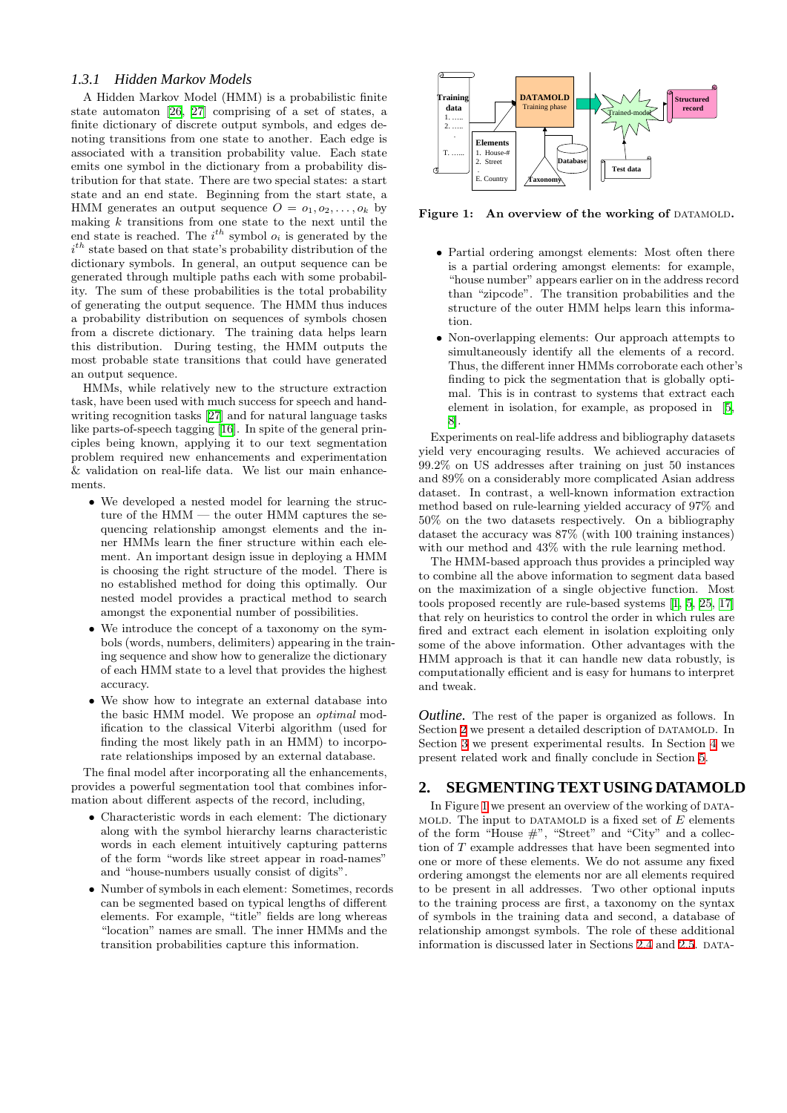## <span id="page-2-2"></span>*1.3.1 Hidden Markov Models*

A Hidden Markov Model (HMM) is a probabilistic finite state automaton [\[26,](#page-11-15) [27](#page-11-16)] comprising of a set of states, a finite dictionary of discrete output symbols, and edges denoting transitions from one state to another. Each edge is associated with a transition probability value. Each state emits one symbol in the dictionary from a probability distribution for that state. There are two special states: a start state and an end state. Beginning from the start state, a HMM generates an output sequence  $O = o_1, o_2, \ldots, o_k$  by making  $k$  transitions from one state to the next until the end state is reached. The  $i^{th}$  symbol  $o_i$  is generated by the  $i<sup>th</sup>$  state based on that state's probability distribution of the dictionary symbols. In general, an output sequence can be generated through multiple paths each with some probability. The sum of these probabilities is the total probability of generating the output sequence. The HMM thus induces a probability distribution on sequences of symbols chosen from a discrete dictionary. The training data helps learn this distribution. During testing, the HMM outputs the most probable state transitions that could have generated an output sequence.

HMMs, while relatively new to the structure extraction task, have been used with much success for speech and handwriting recognition tasks[[27\]](#page-11-16) and for natural language tasks like parts-of-speech tagging [\[16](#page-11-17)]. In spite of the general principles being known, applying it to our text segmentation problem required new enhancements and experimentation & validation on real-life data. We list our main enhancements.

- We developed a nested model for learning the structure of the HMM — the outer HMM captures the sequencing relationship amongst elements and the inner HMMs learn the finer structure within each element. An important design issue in deploying a HMM is choosing the right structure of the model. There is no established method for doing this optimally. Our nested model provides a practical method to search amongst the exponential number of possibilities.
- We introduce the concept of a taxonomy on the symbols (words, numbers, delimiters) appearing in the training sequence and show how to generalize the dictionary of each HMM state to a level that provides the highest accuracy.
- We show how to integrate an external database into the basic HMM model. We propose an optimal modification to the classical Viterbi algorithm (used for finding the most likely path in an HMM) to incorporate relationships imposed by an external database.

The final model after incorporating all the enhancements, provides a powerful segmentation tool that combines information about different aspects of the record, including,

- Characteristic words in each element: The dictionary along with the symbol hierarchy learns characteristic words in each element intuitively capturing patterns of the form "words like street appear in road-names" and "house-numbers usually consist of digits".
- Number of symbols in each element: Sometimes, records can be segmented based on typical lengths of different elements. For example, "title" fields are long whereas "location" names are small. The inner HMMs and the transition probabilities capture this information.



Figure 1: An overview of the working of DATAMOLD.

- <span id="page-2-1"></span>• Partial ordering amongst elements: Most often there is a partial ordering amongst elements: for example, "house number" appears earlier on in the address record than "zipcode". The transition probabilities and the structure of the outer HMM helps learn this information.
- Non-overlapping elements: Our approach attempts to simultaneously identify all the elements of a record. Thus, the different inner HMMs corroborate each other's finding to pick the segmentation that is globally optimal. This is in contrast to systems that extract each element in isolation, for example, as proposed in[[5](#page-11-18), [8\]](#page-11-19).

Experiments on real-life address and bibliography datasets yield very encouraging results. We achieved accuracies of 99.2% on US addresses after training on just 50 instances and 89% on a considerably more complicated Asian address dataset. In contrast, a well-known information extraction method based on rule-learning yielded accuracy of 97% and 50% on the two datasets respectively. On a bibliography dataset the accuracy was 87% (with 100 training instances) with our method and 43% with the rule learning method.

The HMM-based approach thus provides a principled way to combine all the above information to segment data based on the maximization of a single objective function. Most tools proposed recently are rule-based systems [\[1,](#page-11-20) [5,](#page-11-18) [25,](#page-11-6) [17](#page-11-2)] that rely on heuristics to control the order in which rules are fired and extract each element in isolation exploiting only some of the above information. Other advantages with the HMM approach is that it can handle new data robustly, is computationally efficient and is easy for humans to interpret and tweak.

*Outline.* The rest of the paper is organized as follows. In Section [2](#page-2-0) we present a detailed description of DATAMOLD. In Section [3](#page-7-0) we present experimental results. In Section [4](#page-9-0) we present related work and finally conclude in Section [5.](#page-10-0)

# <span id="page-2-0"></span>**2. SEGMENTING TEXT USING DATAMOLD**

In Figure [1](#page-2-1) we present an overview of the working of DATA-MOLD. The input to DATAMOLD is a fixed set of  $E$  elements of the form "House  $\#$ ", "Street" and "City" and a collection of T example addresses that have been segmented into one or more of these elements. We do not assume any fixed ordering amongst the elements nor are all elements required to be present in all addresses. Two other optional inputs to the training process are first, a taxonomy on the syntax of symbols in the training data and second, a database of relationship amongst symbols. The role of these additional information is discussed later in Sections [2.4](#page-5-0) and [2.5.](#page-6-0) DATA-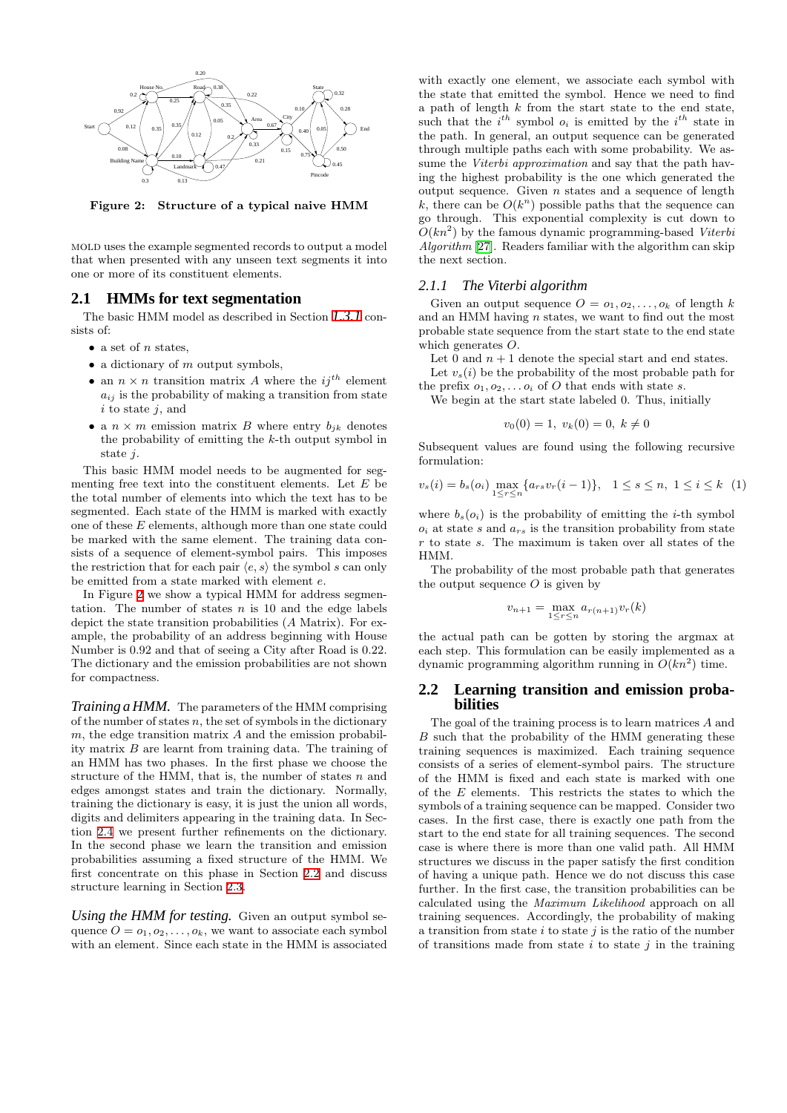

<span id="page-3-0"></span>Figure 2: Structure of a typical naive HMM

mold uses the example segmented records to output a model that when presented with any unseen text segments it into one or more of its constituent elements.

#### **2.1 HMMs for text segmentation**

The basic HMM model as described in Section *[1.3.1](#page-2-2)* consists of:

- a set of  $n$  states,
- $\bullet$  a dictionary of  $m$  output symbols,
- $\bullet$  an  $n \times n$  transition matrix  $A$  where the  $ij^{th}$  element  $a_{ij}$  is the probability of making a transition from state  $i$  to state  $j$ , and
- a  $n \times m$  emission matrix B where entry  $b_{jk}$  denotes the probability of emitting the k-th output symbol in state j.

This basic HMM model needs to be augmented for segmenting free text into the constituent elements. Let  $E$  be the total number of elements into which the text has to be segmented. Each state of the HMM is marked with exactly one of these E elements, although more than one state could be marked with the same element. The training data consists of a sequence of element-symbol pairs. This imposes the restriction that for each pair  $\langle e, s \rangle$  the symbol s can only be emitted from a state marked with element e.

In Figure [2](#page-3-0) we show a typical HMM for address segmentation. The number of states  $n$  is 10 and the edge labels depict the state transition probabilities (A Matrix). For example, the probability of an address beginning with House Number is 0.92 and that of seeing a City after Road is 0.22. The dictionary and the emission probabilities are not shown for compactness.

*Training a HMM.* The parameters of the HMM comprising of the number of states  $n$ , the set of symbols in the dictionary  $m$ , the edge transition matrix  $A$  and the emission probability matrix B are learnt from training data. The training of an HMM has two phases. In the first phase we choose the structure of the HMM, that is, the number of states  $n$  and edges amongst states and train the dictionary. Normally, training the dictionary is easy, it is just the union all words, digits and delimiters appearing in the training data. In Section [2.4](#page-5-0) we present further refinements on the dictionary. In the second phase we learn the transition and emission probabilities assuming a fixed structure of the HMM. We first concentrate on this phase in Section [2.2](#page-3-1) and discuss structure learning in Section [2.3](#page-4-0).

*Using the HMM for testing.* Given an output symbol sequence  $O = o_1, o_2, \ldots, o_k$ , we want to associate each symbol with an element. Since each state in the HMM is associated

with exactly one element, we associate each symbol with the state that emitted the symbol. Hence we need to find a path of length  $k$  from the start state to the end state, such that the  $i^{th}$  symbol  $o_i$  is emitted by the  $i^{th}$  state in the path. In general, an output sequence can be generated through multiple paths each with some probability. We assume the Viterbi approximation and say that the path having the highest probability is the one which generated the output sequence. Given  $n$  states and a sequence of length k, there can be  $O(k^n)$  possible paths that the sequence can go through. This exponential complexity is cut down to  $O(kn^2)$  by the famous dynamic programming-based Viterbi  $Algorithm [27]$  $Algorithm [27]$ . Readers familiar with the algorithm can skip the next section.

#### <span id="page-3-2"></span>*2.1.1 The Viterbi algorithm*

Given an output sequence  $O = o_1, o_2, \ldots, o_k$  of length k and an HMM having  $n$  states, we want to find out the most probable state sequence from the start state to the end state which generates O.

Let 0 and  $n + 1$  denote the special start and end states.

Let  $v_s(i)$  be the probability of the most probable path for the prefix  $o_1, o_2, \ldots o_i$  of O that ends with state s.

We begin at the start state labeled 0. Thus, initially

$$
v_0(0) = 1, v_k(0) = 0, k \neq 0
$$

Subsequent values are found using the following recursive formulation:

<span id="page-3-3"></span>
$$
v_s(i) = b_s(o_i) \max_{1 \le r \le n} \{ a_{rs} v_r(i-1) \}, \quad 1 \le s \le n, \ 1 \le i \le k \quad (1)
$$

where  $b_s(o_i)$  is the probability of emitting the *i*-th symbol  $o_i$  at state s and  $a_{rs}$  is the transition probability from state r to state s. The maximum is taken over all states of the HMM.

The probability of the most probable path that generates the output sequence  $O$  is given by

$$
v_{n+1} = \max_{1 \le r \le n} a_{r(n+1)} v_r(k)
$$

the actual path can be gotten by storing the argmax at each step. This formulation can be easily implemented as a dynamic programming algorithm running in  $O(kn^2)$  time.

#### <span id="page-3-1"></span>**2.2 Learning transition and emission probabilities**

The goal of the training process is to learn matrices A and B such that the probability of the HMM generating these training sequences is maximized. Each training sequence consists of a series of element-symbol pairs. The structure of the HMM is fixed and each state is marked with one of the E elements. This restricts the states to which the symbols of a training sequence can be mapped. Consider two cases. In the first case, there is exactly one path from the start to the end state for all training sequences. The second case is where there is more than one valid path. All HMM structures we discuss in the paper satisfy the first condition of having a unique path. Hence we do not discuss this case further. In the first case, the transition probabilities can be calculated using the Maximum Likelihood approach on all training sequences. Accordingly, the probability of making a transition from state  $i$  to state  $j$  is the ratio of the number of transitions made from state  $i$  to state  $j$  in the training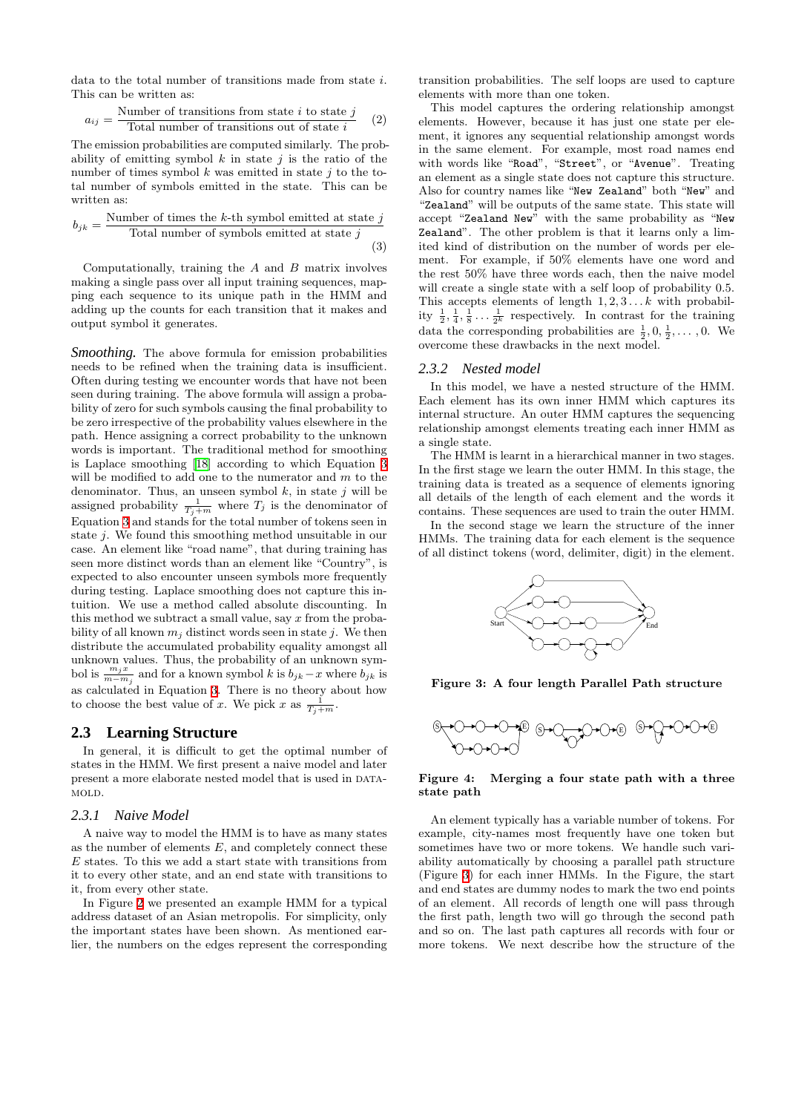data to the total number of transitions made from state i. This can be written as:

$$
a_{ij} = \frac{\text{Number of transitions from state } i \text{ to state } j}{\text{Total number of transitions out of state } i} \quad (2)
$$

The emission probabilities are computed similarly. The probability of emitting symbol  $k$  in state  $j$  is the ratio of the number of times symbol  $k$  was emitted in state  $j$  to the total number of symbols emitted in the state. This can be written as:

$$
b_{jk} = \frac{\text{Number of times the } k\text{-th symbol emitted at state } j}{\text{Total number of symbols emitted at state } j}
$$
\n(3)

Computationally, training the  $A$  and  $B$  matrix involves making a single pass over all input training sequences, mapping each sequence to its unique path in the HMM and adding up the counts for each transition that it makes and output symbol it generates.

*Smoothing.* The above formula for emission probabilities needs to be refined when the training data is insufficient. Often during testing we encounter words that have not been seen during training. The above formula will assign a probability of zero for such symbols causing the final probability to be zero irrespective of the probability values elsewhere in the path. Hence assigning a correct probability to the unknown words is important. The traditional method for smoothing is Laplace smoothing [\[18](#page-11-21)] according to which Equation [3](#page-4-1) will be modified to add one to the numerator and  $m$  to the denominator. Thus, an unseen symbol  $k$ , in state  $j$  will be assigned probability  $\frac{1}{T_j+m}$  where  $T_j$  is the denominator of Equation [3](#page-4-1) and stands for the total number of tokens seen in state j. We found this smoothing method unsuitable in our case. An element like "road name", that during training has seen more distinct words than an element like "Country", is expected to also encounter unseen symbols more frequently during testing. Laplace smoothing does not capture this intuition. We use a method called absolute discounting. In this method we subtract a small value, say  $x$  from the probability of all known  $m_i$  distinct words seen in state j. We then distribute the accumulated probability equality amongst all unknown values. Thus, the probability of an unknown symbol is  $\frac{m_j x}{m-m_j}$  and for a known symbol  $\hat{k}$  is  $b_{jk}-x$  where  $b_{jk}$  is as calculated in Equation [3.](#page-4-1) There is no theory about how to choose the best value of x. We pick x as  $\frac{1}{T_j+m}$ .

#### <span id="page-4-0"></span>**2.3 Learning Structure**

In general, it is difficult to get the optimal number of states in the HMM. We first present a naive model and later present a more elaborate nested model that is used in DATAmold.

#### <span id="page-4-4"></span>*2.3.1 Naive Model*

A naive way to model the HMM is to have as many states as the number of elements  $E$ , and completely connect these  $E$  states. To this we add a start state with transitions from it to every other state, and an end state with transitions to it, from every other state.

In Figure [2](#page-3-0) we presented an example HMM for a typical address dataset of an Asian metropolis. For simplicity, only the important states have been shown. As mentioned earlier, the numbers on the edges represent the corresponding

transition probabilities. The self loops are used to capture elements with more than one token.

This model captures the ordering relationship amongst elements. However, because it has just one state per element, it ignores any sequential relationship amongst words in the same element. For example, most road names end with words like "Road", "Street", or "Avenue". Treating an element as a single state does not capture this structure. Also for country names like "New Zealand" both "New" and "Zealand" will be outputs of the same state. This state will accept "Zealand New" with the same probability as "New Zealand". The other problem is that it learns only a limited kind of distribution on the number of words per element. For example, if 50% elements have one word and the rest 50% have three words each, then the naive model will create a single state with a self loop of probability 0.5. This accepts elements of length  $1, 2, 3...$  k with probability  $\frac{1}{2}, \frac{1}{4}, \frac{1}{8}, \ldots, \frac{1}{2^k}$  respectively. In contrast for the training data the corresponding probabilities are  $\frac{1}{2}$ , 0,  $\frac{1}{2}$ , ..., 0. We overcome these drawbacks in the next model.

#### <span id="page-4-1"></span>*2.3.2 Nested model*

In this model, we have a nested structure of the HMM. Each element has its own inner HMM which captures its internal structure. An outer HMM captures the sequencing relationship amongst elements treating each inner HMM as a single state.

The HMM is learnt in a hierarchical manner in two stages. In the first stage we learn the outer HMM. In this stage, the training data is treated as a sequence of elements ignoring all details of the length of each element and the words it contains. These sequences are used to train the outer HMM.

In the second stage we learn the structure of the inner HMMs. The training data for each element is the sequence of all distinct tokens (word, delimiter, digit) in the element.



<span id="page-4-2"></span>Figure 3: A four length Parallel Path structure



#### <span id="page-4-3"></span>Figure 4: Merging a four state path with a three state path

An element typically has a variable number of tokens. For example, city-names most frequently have one token but sometimes have two or more tokens. We handle such variability automatically by choosing a parallel path structure (Figure [3\)](#page-4-2) for each inner HMMs. In the Figure, the start and end states are dummy nodes to mark the two end points of an element. All records of length one will pass through the first path, length two will go through the second path and so on. The last path captures all records with four or more tokens. We next describe how the structure of the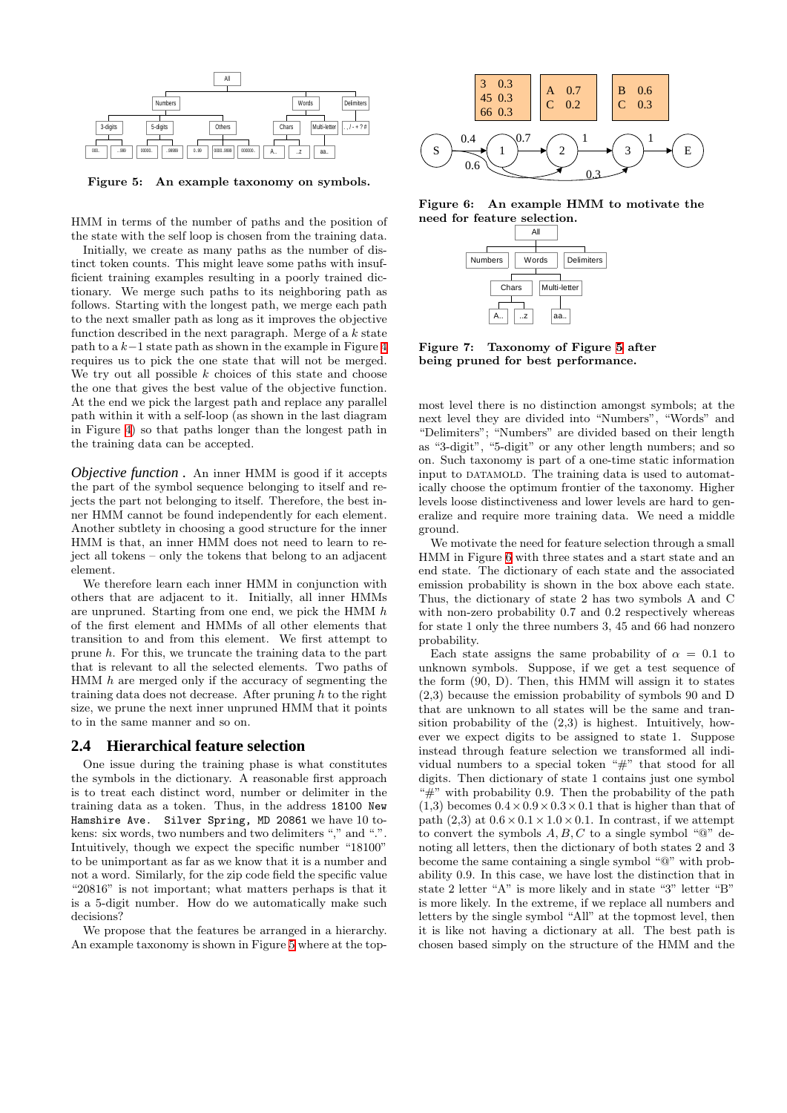

<span id="page-5-1"></span>Figure 5: An example taxonomy on symbols.

HMM in terms of the number of paths and the position of the state with the self loop is chosen from the training data.

Initially, we create as many paths as the number of distinct token counts. This might leave some paths with insufficient training examples resulting in a poorly trained dictionary. We merge such paths to its neighboring path as follows. Starting with the longest path, we merge each path to the next smaller path as long as it improves the objective function described in the next paragraph. Merge of a  $k$  state path to a k−1 state path as shown in the example in Figure [4](#page-4-3) requires us to pick the one state that will not be merged. We try out all possible  $k$  choices of this state and choose the one that gives the best value of the objective function. At the end we pick the largest path and replace any parallel path within it with a self-loop (as shown in the last diagram in Figure [4](#page-4-3)) so that paths longer than the longest path in the training data can be accepted.

*Objective function* . An inner HMM is good if it accepts the part of the symbol sequence belonging to itself and rejects the part not belonging to itself. Therefore, the best inner HMM cannot be found independently for each element. Another subtlety in choosing a good structure for the inner HMM is that, an inner HMM does not need to learn to reject all tokens – only the tokens that belong to an adjacent element.

We therefore learn each inner HMM in conjunction with others that are adjacent to it. Initially, all inner HMMs are unpruned. Starting from one end, we pick the HMM h of the first element and HMMs of all other elements that transition to and from this element. We first attempt to prune h. For this, we truncate the training data to the part that is relevant to all the selected elements. Two paths of HMM  $h$  are merged only if the accuracy of segmenting the training data does not decrease. After pruning  $h$  to the right size, we prune the next inner unpruned HMM that it points to in the same manner and so on.

#### <span id="page-5-0"></span>**2.4 Hierarchical feature selection**

One issue during the training phase is what constitutes the symbols in the dictionary. A reasonable first approach is to treat each distinct word, number or delimiter in the training data as a token. Thus, in the address 18100 New Hamshire Ave. Silver Spring, MD 20861 we have 10 tokens: six words, two numbers and two delimiters "," and ".". Intuitively, though we expect the specific number "18100" to be unimportant as far as we know that it is a number and not a word. Similarly, for the zip code field the specific value "20816" is not important; what matters perhaps is that it is a 5-digit number. How do we automatically make such decisions?

We propose that the features be arranged in a hierarchy. An example taxonomy is shown in Figure [5](#page-5-1) where at the top-



Figure 6: An example HMM to motivate the need for feature selection.

<span id="page-5-2"></span>

<span id="page-5-3"></span>Figure 7: Taxonomy of Figure [5](#page-5-1) after being pruned for best performance.

most level there is no distinction amongst symbols; at the next level they are divided into "Numbers", "Words" and "Delimiters"; "Numbers" are divided based on their length as "3-digit", "5-digit" or any other length numbers; and so on. Such taxonomy is part of a one-time static information input to DATAMOLD. The training data is used to automatically choose the optimum frontier of the taxonomy. Higher levels loose distinctiveness and lower levels are hard to generalize and require more training data. We need a middle ground.

We motivate the need for feature selection through a small HMM in Figure [6](#page-5-2) with three states and a start state and an end state. The dictionary of each state and the associated emission probability is shown in the box above each state. Thus, the dictionary of state 2 has two symbols A and C with non-zero probability 0.7 and 0.2 respectively whereas for state 1 only the three numbers 3, 45 and 66 had nonzero probability.

Each state assigns the same probability of  $\alpha = 0.1$  to unknown symbols. Suppose, if we get a test sequence of the form (90, D). Then, this HMM will assign it to states (2,3) because the emission probability of symbols 90 and D that are unknown to all states will be the same and transition probability of the (2,3) is highest. Intuitively, however we expect digits to be assigned to state 1. Suppose instead through feature selection we transformed all individual numbers to a special token "#" that stood for all digits. Then dictionary of state 1 contains just one symbol " $\#$ " with probability 0.9. Then the probability of the path  $(1.3)$  becomes  $0.4 \times 0.9 \times 0.3 \times 0.1$  that is higher than that of path (2,3) at  $0.6 \times 0.1 \times 1.0 \times 0.1$ . In contrast, if we attempt to convert the symbols  $A, B, C$  to a single symbol " $@$ " denoting all letters, then the dictionary of both states 2 and 3 become the same containing a single symbol "@" with probability 0.9. In this case, we have lost the distinction that in state 2 letter "A" is more likely and in state "3" letter "B" is more likely. In the extreme, if we replace all numbers and letters by the single symbol "All" at the topmost level, then it is like not having a dictionary at all. The best path is chosen based simply on the structure of the HMM and the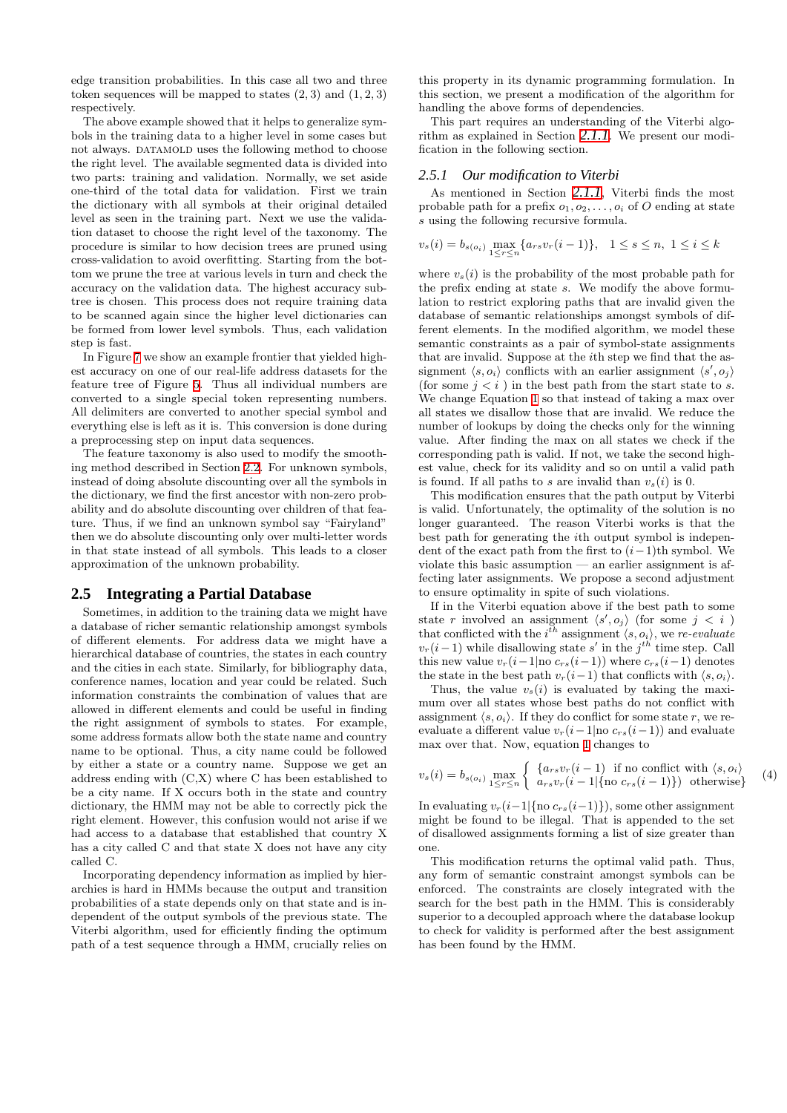edge transition probabilities. In this case all two and three token sequences will be mapped to states  $(2, 3)$  and  $(1, 2, 3)$ respectively.

The above example showed that it helps to generalize symbols in the training data to a higher level in some cases but not always. DATAMOLD uses the following method to choose the right level. The available segmented data is divided into two parts: training and validation. Normally, we set aside one-third of the total data for validation. First we train the dictionary with all symbols at their original detailed level as seen in the training part. Next we use the validation dataset to choose the right level of the taxonomy. The procedure is similar to how decision trees are pruned using cross-validation to avoid overfitting. Starting from the bottom we prune the tree at various levels in turn and check the accuracy on the validation data. The highest accuracy subtree is chosen. This process does not require training data to be scanned again since the higher level dictionaries can be formed from lower level symbols. Thus, each validation step is fast.

In Figure [7](#page-5-3) we show an example frontier that yielded highest accuracy on one of our real-life address datasets for the feature tree of Figure [5](#page-5-1). Thus all individual numbers are converted to a single special token representing numbers. All delimiters are converted to another special symbol and everything else is left as it is. This conversion is done during a preprocessing step on input data sequences.

The feature taxonomy is also used to modify the smoothing method described in Section [2.2](#page-3-1). For unknown symbols, instead of doing absolute discounting over all the symbols in the dictionary, we find the first ancestor with non-zero probability and do absolute discounting over children of that feature. Thus, if we find an unknown symbol say "Fairyland" then we do absolute discounting only over multi-letter words in that state instead of all symbols. This leads to a closer approximation of the unknown probability.

## <span id="page-6-0"></span>**2.5 Integrating a Partial Database**

Sometimes, in addition to the training data we might have a database of richer semantic relationship amongst symbols of different elements. For address data we might have a hierarchical database of countries, the states in each country and the cities in each state. Similarly, for bibliography data, conference names, location and year could be related. Such information constraints the combination of values that are allowed in different elements and could be useful in finding the right assignment of symbols to states. For example, some address formats allow both the state name and country name to be optional. Thus, a city name could be followed by either a state or a country name. Suppose we get an address ending with (C,X) where C has been established to be a city name. If X occurs both in the state and country dictionary, the HMM may not be able to correctly pick the right element. However, this confusion would not arise if we had access to a database that established that country X has a city called C and that state X does not have any city called C.

Incorporating dependency information as implied by hierarchies is hard in HMMs because the output and transition probabilities of a state depends only on that state and is independent of the output symbols of the previous state. The Viterbi algorithm, used for efficiently finding the optimum path of a test sequence through a HMM, crucially relies on

this property in its dynamic programming formulation. In this section, we present a modification of the algorithm for handling the above forms of dependencies.

This part requires an understanding of the Viterbi algorithm as explained in Section *[2.1.1](#page-3-2)*. We present our modification in the following section.

#### *2.5.1 Our modification to Viterbi*

As mentioned in Section *[2.1.1](#page-3-2)*, Viterbi finds the most probable path for a prefix  $o_1, o_2, \ldots, o_i$  of O ending at state s using the following recursive formula.

$$
v_s(i) = b_{s(o_i)} \max_{1 \le r \le n} \{a_{rs}v_r(i-1)\}, \quad 1 \le s \le n, \ 1 \le i \le k
$$

where  $v_s(i)$  is the probability of the most probable path for the prefix ending at state s. We modify the above formulation to restrict exploring paths that are invalid given the database of semantic relationships amongst symbols of different elements. In the modified algorithm, we model these semantic constraints as a pair of symbol-state assignments that are invalid. Suppose at the ith step we find that the assignment  $\langle s, o_i \rangle$  conflicts with an earlier assignment  $\langle s', o_j \rangle$ (for some  $i < i$ ) in the best path from the start state to s. We change Equation [1](#page-3-3) so that instead of taking a max over all states we disallow those that are invalid. We reduce the number of lookups by doing the checks only for the winning value. After finding the max on all states we check if the corresponding path is valid. If not, we take the second highest value, check for its validity and so on until a valid path is found. If all paths to s are invalid than  $v_s(i)$  is 0.

This modification ensures that the path output by Viterbi is valid. Unfortunately, the optimality of the solution is no longer guaranteed. The reason Viterbi works is that the best path for generating the ith output symbol is independent of the exact path from the first to  $(i-1)$ th symbol. We violate this basic assumption — an earlier assignment is affecting later assignments. We propose a second adjustment to ensure optimality in spite of such violations.

If in the Viterbi equation above if the best path to some state r involved an assignment  $\langle s', o_j \rangle$  (for some  $j < i$ ) that conflicted with the  $i^{\bar{t}h}$  assignment  $\langle s, o_i \rangle$ , we re-evaluate  $v_r(i-1)$  while disallowing state s' in the j<sup>th</sup> time step. Call this new value  $v_r(i-1|n_0 c_{rs}(i-1))$  where  $c_{rs}(i-1)$  denotes the state in the best path  $v_r(i-1)$  that conflicts with  $\langle s, o_i \rangle$ .

Thus, the value  $v_s(i)$  is evaluated by taking the maximum over all states whose best paths do not conflict with assignment  $\langle s, o_i \rangle$ . If they do conflict for some state r, we reevaluate a different value  $v_r(i-1|n_0 c_{rs}(i-1))$  and evaluate max over that. Now, equation [1](#page-3-3) changes to

$$
v_s(i) = b_{s(o_i)} \max_{1 \le r \le n} \begin{cases} \n\{a_{rs}v_r(i-1) & \text{if no conflict with } \langle s, o_i \rangle \\
a_{rs}v_r(i-1|\{\text{no } c_{rs}(i-1)\}) & \text{otherwise}\n\end{cases} \tag{4}
$$

In evaluating  $v_r(i-1|\{no\ c_{rs}(i-1)\})$ , some other assignment might be found to be illegal. That is appended to the set of disallowed assignments forming a list of size greater than one.

This modification returns the optimal valid path. Thus, any form of semantic constraint amongst symbols can be enforced. The constraints are closely integrated with the search for the best path in the HMM. This is considerably superior to a decoupled approach where the database lookup to check for validity is performed after the best assignment has been found by the HMM.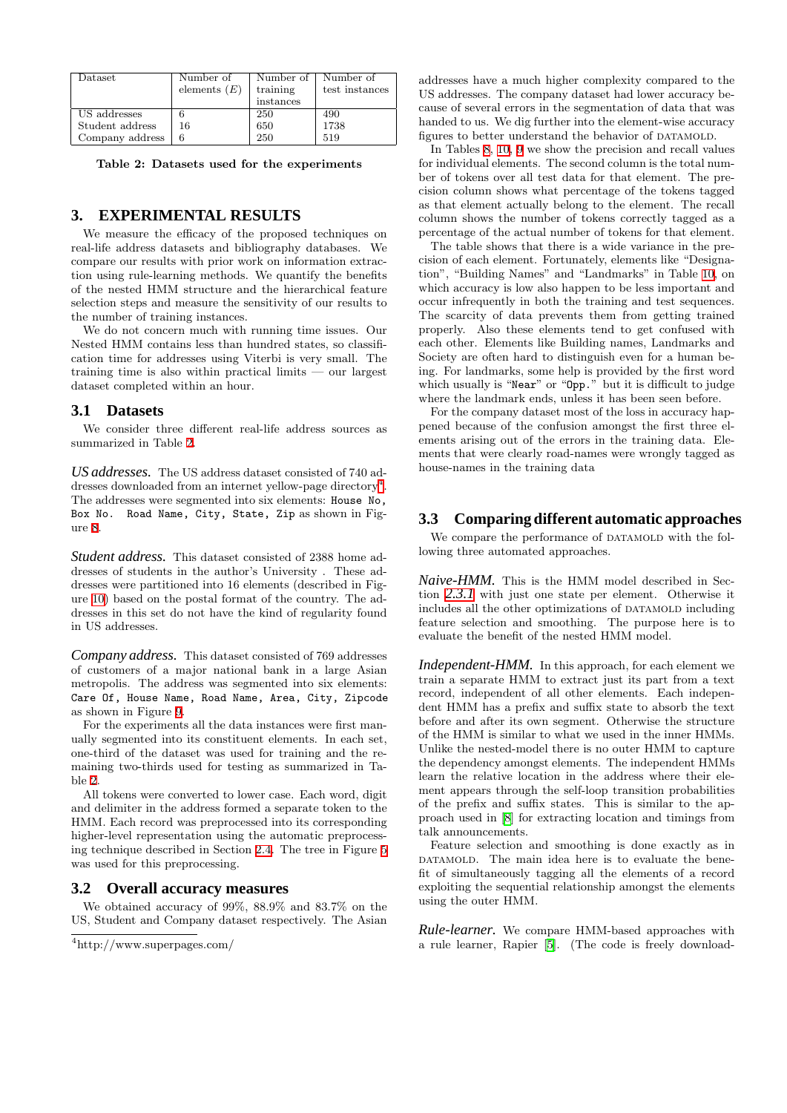| $_{\rm 0}$ ataset | Number of<br>elements $(E)$ | Number of 1<br>training<br>instances | Number of<br>test instances |
|-------------------|-----------------------------|--------------------------------------|-----------------------------|
| US addresses      |                             | 250                                  | 490                         |
| Student address   | 16                          | 650                                  | 1738                        |
| Company address   |                             | 250                                  | 519                         |

<span id="page-7-1"></span>Table 2: Datasets used for the experiments

# <span id="page-7-0"></span>**3. EXPERIMENTAL RESULTS**

We measure the efficacy of the proposed techniques on real-life address datasets and bibliography databases. We compare our results with prior work on information extraction using rule-learning methods. We quantify the benefits of the nested HMM structure and the hierarchical feature selection steps and measure the sensitivity of our results to the number of training instances.

We do not concern much with running time issues. Our Nested HMM contains less than hundred states, so classification time for addresses using Viterbi is very small. The training time is also within practical limits — our largest dataset completed within an hour.

#### **3.1 Datasets**

We consider three different real-life address sources as summarized in Table [2.](#page-7-1)

*US addresses.* The US address dataset consisted of 740 ad-dresses downloaded from an internet yellow-page directory<sup>[4](#page-7-2)</sup>. The addresses were segmented into six elements: House No, Box No. Road Name, City, State, Zip as shown in Figure [8](#page-8-0).

*Student address.* This dataset consisted of 2388 home addresses of students in the author's University . These addresses were partitioned into 16 elements (described in Figure [10\)](#page-8-1) based on the postal format of the country. The addresses in this set do not have the kind of regularity found in US addresses.

*Company address.* This dataset consisted of 769 addresses of customers of a major national bank in a large Asian metropolis. The address was segmented into six elements: Care Of, House Name, Road Name, Area, City, Zipcode as shown in Figure [9.](#page-8-2)

For the experiments all the data instances were first manually segmented into its constituent elements. In each set, one-third of the dataset was used for training and the remaining two-thirds used for testing as summarized in Table [2](#page-7-1).

All tokens were converted to lower case. Each word, digit and delimiter in the address formed a separate token to the HMM. Each record was preprocessed into its corresponding higher-level representation using the automatic preprocessing technique described in Section [2.4](#page-5-0). The tree in Figure [5](#page-5-1) was used for this preprocessing.

#### **3.2 Overall accuracy measures**

We obtained accuracy of 99%, 88.9% and 83.7% on the US, Student and Company dataset respectively. The Asian

addresses have a much higher complexity compared to the US addresses. The company dataset had lower accuracy because of several errors in the segmentation of data that was handed to us. We dig further into the element-wise accuracy figures to better understand the behavior of DATAMOLD.

In Tables [8,](#page-8-0) [10,](#page-8-1) [9](#page-8-2) we show the precision and recall values for individual elements. The second column is the total number of tokens over all test data for that element. The precision column shows what percentage of the tokens tagged as that element actually belong to the element. The recall column shows the number of tokens correctly tagged as a percentage of the actual number of tokens for that element.

The table shows that there is a wide variance in the precision of each element. Fortunately, elements like "Designation", "Building Names" and "Landmarks" in Table [10](#page-8-1), on which accuracy is low also happen to be less important and occur infrequently in both the training and test sequences. The scarcity of data prevents them from getting trained properly. Also these elements tend to get confused with each other. Elements like Building names, Landmarks and Society are often hard to distinguish even for a human being. For landmarks, some help is provided by the first word which usually is "Near" or "Opp." but it is difficult to judge where the landmark ends, unless it has been seen before.

For the company dataset most of the loss in accuracy happened because of the confusion amongst the first three elements arising out of the errors in the training data. Elements that were clearly road-names were wrongly tagged as house-names in the training data

## **3.3 Comparing different automatic approaches**

We compare the performance of DATAMOLD with the following three automated approaches.

*Naive-HMM.* This is the HMM model described in Section *[2.3.1](#page-4-4)* with just one state per element. Otherwise it includes all the other optimizations of DATAMOLD including feature selection and smoothing. The purpose here is to evaluate the benefit of the nested HMM model.

*Independent-HMM.* In this approach, for each element we train a separate HMM to extract just its part from a text record, independent of all other elements. Each independent HMM has a prefix and suffix state to absorb the text before and after its own segment. Otherwise the structure of the HMM is similar to what we used in the inner HMMs. Unlike the nested-model there is no outer HMM to capture the dependency amongst elements. The independent HMMs learn the relative location in the address where their element appears through the self-loop transition probabilities of the prefix and suffix states. This is similar to the approach used in[[8](#page-11-19)] for extracting location and timings from talk announcements.

Feature selection and smoothing is done exactly as in DATAMOLD. The main idea here is to evaluate the benefit of simultaneously tagging all the elements of a record exploiting the sequential relationship amongst the elements using the outer HMM.

*Rule-learner.* We compare HMM-based approaches with a rule learner, Rapier[[5\]](#page-11-18). (The code is freely download-

<span id="page-7-2"></span><sup>4</sup>http://www.superpages.com/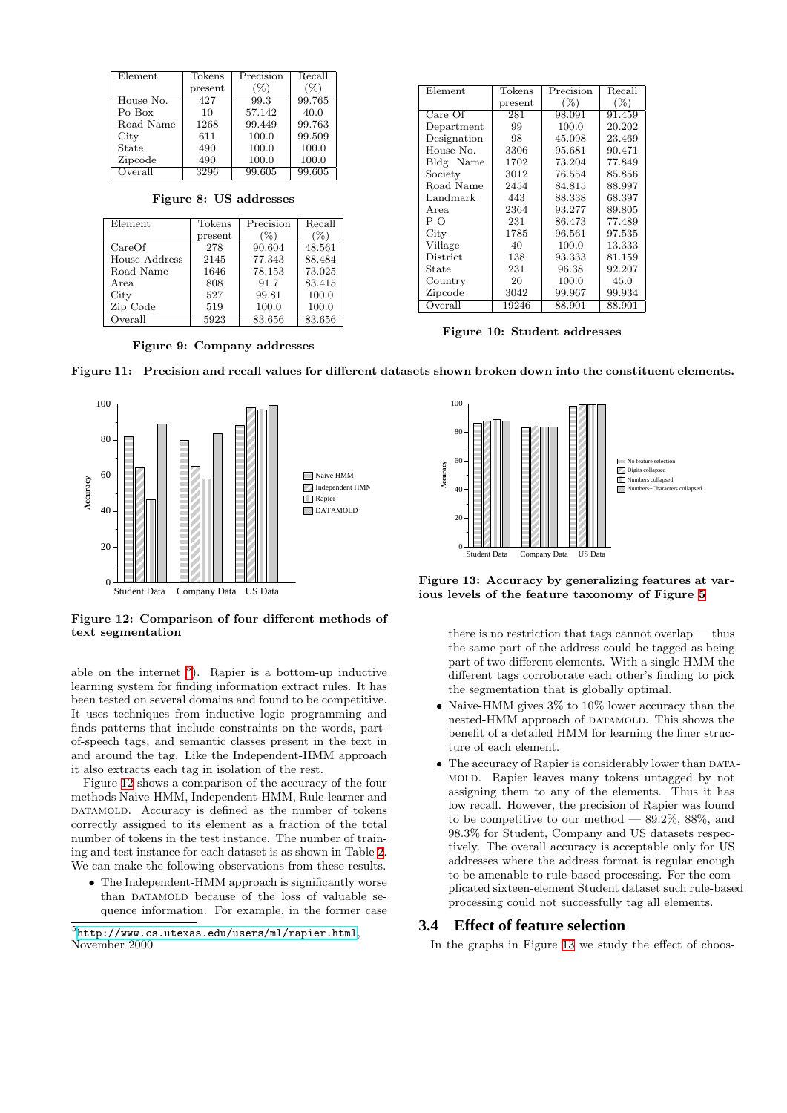| Element   | Tokens  | Precision | Recall |  |
|-----------|---------|-----------|--------|--|
|           | present | '%`       |        |  |
| House No. | 427     | 99.3      | 99.765 |  |
| Po Box    | 10      | 57.142    | 40.0   |  |
| Road Name | 1268    | 99.449    | 99.763 |  |
| City      | 611     | 100.0     | 99.509 |  |
| State     | 490     | 100.0     | 100.0  |  |
| Zipcode   | 490     | 100.0     | 100.0  |  |
| OveraII   | 3296    | 99.605    | 99.605 |  |

<span id="page-8-0"></span>Figure 8: US addresses

|               |         |           | Recall |
|---------------|---------|-----------|--------|
| Element       | Tokens  | Precision |        |
|               | present | $\%$      |        |
| CareOf        | 278     | 90.604    | 48.561 |
| House Address | 2145    | 77.343    | 88.484 |
| Road Name     | 1646    | 78.153    | 73.025 |
| Area          | 808     | 91.7      | 83.415 |
| City          | 527     | 99.81     | 100.0  |
| Zip Code      | 519     | 100.0     | 100.0  |
| Overall       | 5923    | 83.656    | 83.656 |

<span id="page-8-2"></span>Figure 9: Company addresses

| Element     | Precision<br>Tokens |        | Recall |
|-------------|---------------------|--------|--------|
|             | present             | $(\%)$ | $(\%)$ |
| $Care$ Of   | 281                 | 98.091 | 91.459 |
| Department  | 99                  | 100.0  | 20.202 |
| Designation | 98                  | 45.098 | 23.469 |
| House No.   | 3306                | 95.681 | 90.471 |
| Bldg. Name  | 1702                | 73.204 | 77.849 |
| Society     | 3012                | 76.554 | 85.856 |
| Road Name   | 2454                | 84.815 | 88.997 |
| Landmark    | 443                 | 88.338 | 68.397 |
| Area.       | 2364                | 93.277 | 89.805 |
| PΟ          | 231                 | 86.473 | 77.489 |
| City        | 1785                | 96.561 | 97.535 |
| Village     | 40                  | 100.0  | 13.333 |
| District    | 138                 | 93.333 | 81.159 |
| State       | 231                 | 96.38  | 92.207 |
| Country     | 20                  | 100.0  | 45.0   |
| Zipcode     | 3042                | 99.967 | 99.934 |
| Overall     | 19246               | 88.901 | 88.901 |

<span id="page-8-1"></span>Figure 10: Student addresses

Figure 11: Precision and recall values for different datasets shown broken down into the constituent elements.



<span id="page-8-4"></span>Figure 12: Comparison of four different methods of text segmentation

able on the internet  $5$ ). Rapier is a bottom-up inductive learning system for finding information extract rules. It has been tested on several domains and found to be competitive. It uses techniques from inductive logic programming and finds patterns that include constraints on the words, partof-speech tags, and semantic classes present in the text in and around the tag. Like the Independent-HMM approach it also extracts each tag in isolation of the rest.

Figure [12](#page-8-4) shows a comparison of the accuracy of the four methods Naive-HMM, Independent-HMM, Rule-learner and DATAMOLD. Accuracy is defined as the number of tokens correctly assigned to its element as a fraction of the total number of tokens in the test instance. The number of training and test instance for each dataset is as shown in Table [2](#page-7-1). We can make the following observations from these results.

• The Independent-HMM approach is significantly worse than DATAMOLD because of the loss of valuable sequence information. For example, in the former case



Figure 13: Accuracy by generalizing features at various levels of the feature taxonomy of Figure [5](#page-5-1)

<span id="page-8-5"></span>there is no restriction that tags cannot overlap — thus the same part of the address could be tagged as being part of two different elements. With a single HMM the different tags corroborate each other's finding to pick the segmentation that is globally optimal.

- Naive-HMM gives  $3\%$  to  $10\%$  lower accuracy than the nested-HMM approach of DATAMOLD. This shows the benefit of a detailed HMM for learning the finer structure of each element.
- The accuracy of Rapier is considerably lower than DATAmold. Rapier leaves many tokens untagged by not assigning them to any of the elements. Thus it has low recall. However, the precision of Rapier was found to be competitive to our method  $-89.2\%$ , 88%, and 98.3% for Student, Company and US datasets respectively. The overall accuracy is acceptable only for US addresses where the address format is regular enough to be amenable to rule-based processing. For the complicated sixteen-element Student dataset such rule-based processing could not successfully tag all elements.

#### **3.4 Effect of feature selection**

In the graphs in Figure [13](#page-8-5) we study the effect of choos-

<span id="page-8-3"></span> $5$ <http://www.cs.utexas.edu/users/ml/rapier.html>, November 2000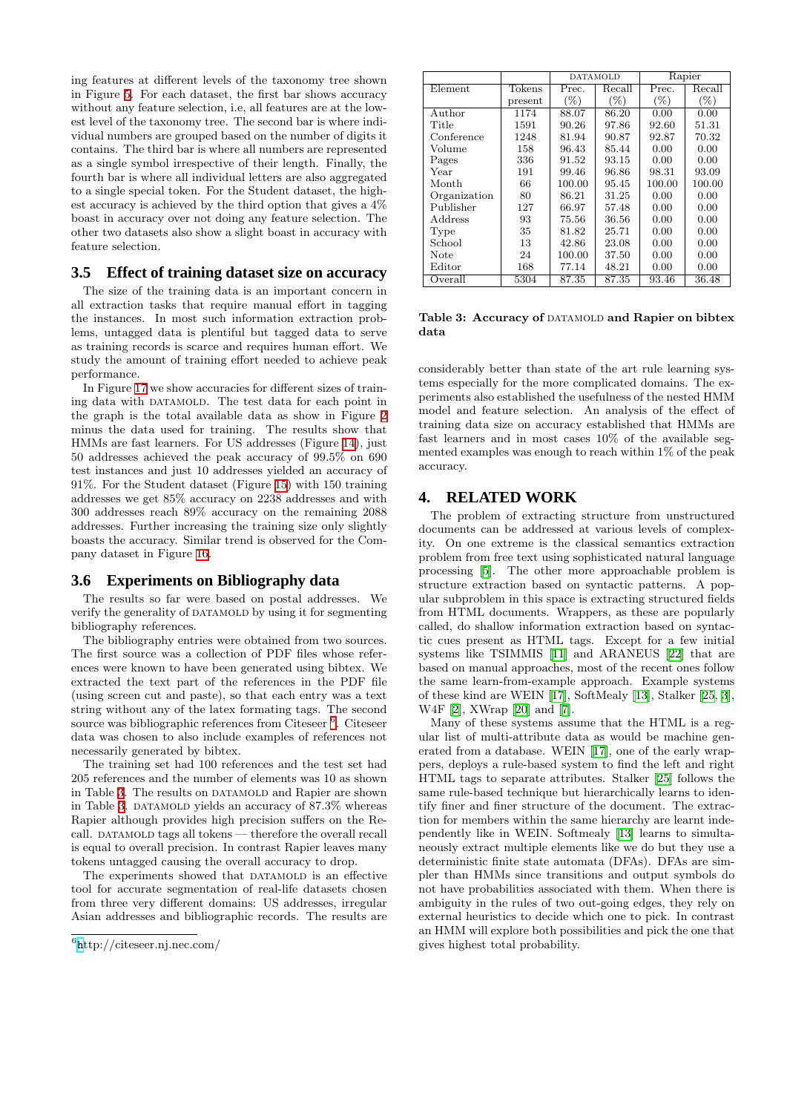ing features at different levels of the taxonomy tree shown in Figure [5.](#page-5-1) For each dataset, the first bar shows accuracy without any feature selection, i.e, all features are at the lowest level of the taxonomy tree. The second bar is where individual numbers are grouped based on the number of digits it contains. The third bar is where all numbers are represented as a single symbol irrespective of their length. Finally, the fourth bar is where all individual letters are also aggregated to a single special token. For the Student dataset, the highest accuracy is achieved by the third option that gives a 4% boast in accuracy over not doing any feature selection. The other two datasets also show a slight boast in accuracy with feature selection.

## **3.5 Effect of training dataset size on accuracy**

The size of the training data is an important concern in all extraction tasks that require manual effort in tagging the instances. In most such information extraction problems, untagged data is plentiful but tagged data to serve as training records is scarce and requires human effort. We study the amount of training effort needed to achieve peak performance.

In Figure [17](#page-10-1) we show accuracies for different sizes of training data with DATAMOLD. The test data for each point in the graph is the total available data as show in Figure [2](#page-7-1) minus the data used for training. The results show that HMMs are fast learners. For US addresses (Figure [14\)](#page-10-2), just 50 addresses achieved the peak accuracy of 99.5% on 690 test instances and just 10 addresses yielded an accuracy of 91%. For the Student dataset (Figure [15](#page-10-3)) with 150 training addresses we get 85% accuracy on 2238 addresses and with 300 addresses reach 89% accuracy on the remaining 2088 addresses. Further increasing the training size only slightly boasts the accuracy. Similar trend is observed for the Company dataset in Figure [16.](#page-10-4)

#### **3.6 Experiments on Bibliography data**

The results so far were based on postal addresses. We verify the generality of DATAMOLD by using it for segmenting bibliography references.

The bibliography entries were obtained from two sources. The first source was a collection of PDF files whose references were known to have been generated using bibtex. We extracted the text part of the references in the PDF file (using screen cut and paste), so that each entry was a text string without any of the latex formating tags. The second source was bibliographic references from Citeseer<sup>[6](#page-9-1)</sup>. Citeseer data was chosen to also include examples of references not necessarily generated by bibtex.

The training set had 100 references and the test set had 205 references and the number of elements was 10 as shown in Table [3.](#page-9-2) The results on DATAMOLD and Rapier are shown in Table [3](#page-9-2). DATAMOLD vields an accuracy of  $87.3\%$  whereas Rapier although provides high precision suffers on the Recall. DATAMOLD tags all tokens — therefore the overall recall is equal to overall precision. In contrast Rapier leaves many tokens untagged causing the overall accuracy to drop.

The experiments showed that DATAMOLD is an effective tool for accurate segmentation of real-life datasets chosen from three very different domains: US addresses, irregular Asian addresses and bibliographic records. The results are

|                 |               | DATAMOLD |        | Rapier |        |
|-----------------|---------------|----------|--------|--------|--------|
| Element         | <b>Tokens</b> | Prec.    | Recall | Prec.  | Recall |
|                 | present       | $(\%)$   | $(\%)$ | $(\%)$ | $(\%)$ |
| Author          | 1174          | 88.07    | 86.20  | 0.00   | 0.00   |
| Title           | 1591          | 90.26    | 97.86  | 92.60  | 51.31  |
| Conference      | 1248          | 81.94    | 90.87  | 92.87  | 70.32  |
| Volume          | 158           | 96.43    | 85.44  | 0.00   | 0.00   |
| Pages           | 336           | 91.52    | 93.15  | 0.00   | 0.00   |
| Year            | 191           | 99.46    | 96.86  | 98.31  | 93.09  |
| Month           | 66            | 100.00   | 95.45  | 100.00 | 100.00 |
| Organization    | 80            | 86.21    | 31.25  | 0.00   | 0.00   |
| Publisher       | 127           | 66.97    | 57.48  | 0.00   | 0.00   |
| $\rm Address$   | 93            | 75.56    | 36.56  | 0.00   | 0.00   |
| Type            | 35            | 81.82    | 25.71  | 0.00   | 0.00   |
| School          | 13            | 42.86    | 23.08  | 0.00   | 0.00   |
| Note            | 24            | 100.00   | 37.50  | 0.00   | 0.00   |
| $_{\rm Editor}$ | 168           | 77.14    | 48.21  | 0.00   | 0.00   |
| Overall         | 5304          | 87.35    | 87.35  | 93.46  | 36.48  |

<span id="page-9-2"></span>Table 3: Accuracy of DATAMOLD and Rapier on bibtex data

considerably better than state of the art rule learning systems especially for the more complicated domains. The experiments also established the usefulness of the nested HMM model and feature selection. An analysis of the effect of training data size on accuracy established that HMMs are fast learners and in most cases 10% of the available segmented examples was enough to reach within 1% of the peak accuracy.

# <span id="page-9-0"></span>**4. RELATED WORK**

The problem of extracting structure from unstructured documents can be addressed at various levels of complexity. On one extreme is the classical semantics extraction problem from free text using sophisticated natural language processing [\[5\]](#page-11-18). The other more approachable problem is structure extraction based on syntactic patterns. A popular subproblem in this space is extracting structured fields from HTML documents. Wrappers, as these are popularly called, do shallow information extraction based on syntactic cues present as HTML tags. Except for a few initial systems like TSIMMIS[[11](#page-11-4)] and ARANEUS [\[22](#page-11-8)] that are based on manual approaches, most of the recent ones follow the same learn-from-example approach. Example systems of these kind are WEIN [\[17\]](#page-11-2), SoftMealy[[13\]](#page-11-22), Stalker[[25,](#page-11-6) [3\]](#page-11-23), W4F[[2](#page-11-24)], XWrap[[20](#page-11-5)] and [\[7\]](#page-11-7).

Many of these systems assume that the HTML is a regular list of multi-attribute data as would be machine generated from a database. WEIN[[17](#page-11-2)], one of the early wrappers, deploys a rule-based system to find the left and right HTML tags to separate attributes. Stalker [\[25\]](#page-11-6) follows the same rule-based technique but hierarchically learns to identify finer and finer structure of the document. The extraction for members within the same hierarchy are learnt independently like in WEIN. Softmealy [\[13](#page-11-22)] learns to simultaneously extract multiple elements like we do but they use a deterministic finite state automata (DFAs). DFAs are simpler than HMMs since transitions and output symbols do not have probabilities associated with them. When there is ambiguity in the rules of two out-going edges, they rely on external heuristics to decide which one to pick. In contrast an HMM will explore both possibilities and pick the one that gives highest total probability.

<span id="page-9-1"></span><sup>6</sup> <h>ttp://citeseer.nj.nec.com/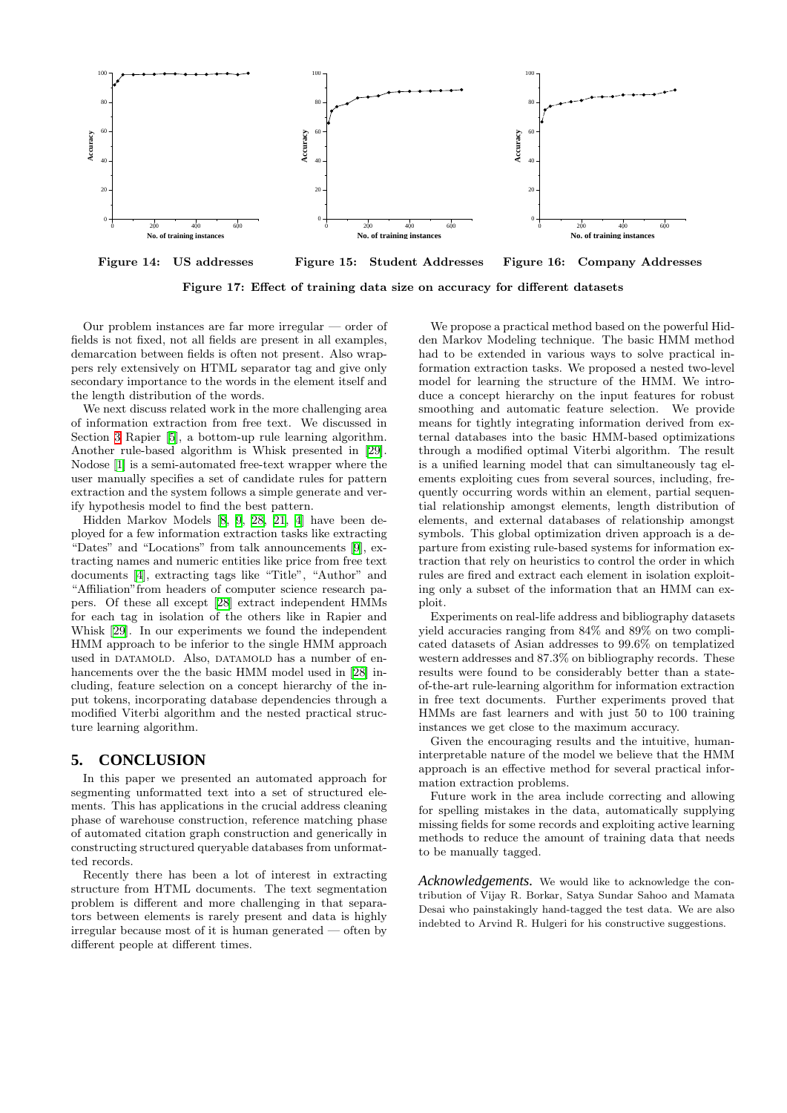

Figure 14: US addresses Figure 15: Student Addresses Figure 16: Company Addresses

<span id="page-10-2"></span><span id="page-10-1"></span>Figure 17: Effect of training data size on accuracy for different datasets

Our problem instances are far more irregular — order of fields is not fixed, not all fields are present in all examples, demarcation between fields is often not present. Also wrappers rely extensively on HTML separator tag and give only secondary importance to the words in the element itself and the length distribution of the words.

We next discuss related work in the more challenging area of information extraction from free text. We discussed in Section [3](#page-7-0) Rapier [\[5\]](#page-11-18), a bottom-up rule learning algorithm. Another rule-based algorithm is Whisk presented in[[29\]](#page-11-1). Nodose [\[1\]](#page-11-20) is a semi-automated free-text wrapper where the user manually specifies a set of candidate rules for pattern extraction and the system follows a simple generate and verify hypothesis model to find the best pattern.

Hidden Markov Models[[8](#page-11-19), [9](#page-11-25), [28,](#page-11-26) [21](#page-11-27), [4](#page-11-28)] have been deployed for a few information extraction tasks like extracting "Dates" and "Locations" from talk announcements[[9](#page-11-25)], extracting names and numeric entities like price from free text documents [\[4](#page-11-28)], extracting tags like "Title", "Author" and "Affiliation"from headers of computer science research papers. Of these all except [\[28](#page-11-26)] extract independent HMMs for each tag in isolation of the others like in Rapier and Whisk[[29\]](#page-11-1). In our experiments we found the independent HMM approach to be inferior to the single HMM approach used in DATAMOLD. Also, DATAMOLD has a number of enhancements over the the basic HMM model used in [\[28](#page-11-26)] including, feature selection on a concept hierarchy of the input tokens, incorporating database dependencies through a modified Viterbi algorithm and the nested practical structure learning algorithm.

## <span id="page-10-0"></span>**5. CONCLUSION**

In this paper we presented an automated approach for segmenting unformatted text into a set of structured elements. This has applications in the crucial address cleaning phase of warehouse construction, reference matching phase of automated citation graph construction and generically in constructing structured queryable databases from unformatted records.

Recently there has been a lot of interest in extracting structure from HTML documents. The text segmentation problem is different and more challenging in that separators between elements is rarely present and data is highly irregular because most of it is human generated — often by different people at different times.

<span id="page-10-4"></span><span id="page-10-3"></span>We propose a practical method based on the powerful Hidden Markov Modeling technique. The basic HMM method had to be extended in various ways to solve practical information extraction tasks. We proposed a nested two-level model for learning the structure of the HMM. We introduce a concept hierarchy on the input features for robust smoothing and automatic feature selection. We provide means for tightly integrating information derived from external databases into the basic HMM-based optimizations through a modified optimal Viterbi algorithm. The result is a unified learning model that can simultaneously tag elements exploiting cues from several sources, including, frequently occurring words within an element, partial sequential relationship amongst elements, length distribution of elements, and external databases of relationship amongst symbols. This global optimization driven approach is a departure from existing rule-based systems for information extraction that rely on heuristics to control the order in which rules are fired and extract each element in isolation exploiting only a subset of the information that an HMM can exploit.

Experiments on real-life address and bibliography datasets yield accuracies ranging from 84% and 89% on two complicated datasets of Asian addresses to 99.6% on templatized western addresses and 87.3% on bibliography records. These results were found to be considerably better than a stateof-the-art rule-learning algorithm for information extraction in free text documents. Further experiments proved that HMMs are fast learners and with just 50 to 100 training instances we get close to the maximum accuracy.

Given the encouraging results and the intuitive, humaninterpretable nature of the model we believe that the HMM approach is an effective method for several practical information extraction problems.

Future work in the area include correcting and allowing for spelling mistakes in the data, automatically supplying missing fields for some records and exploiting active learning methods to reduce the amount of training data that needs to be manually tagged.

*Acknowledgements.* We would like to acknowledge the contribution of Vijay R. Borkar, Satya Sundar Sahoo and Mamata Desai who painstakingly hand-tagged the test data. We are also indebted to Arvind R. Hulgeri for his constructive suggestions.